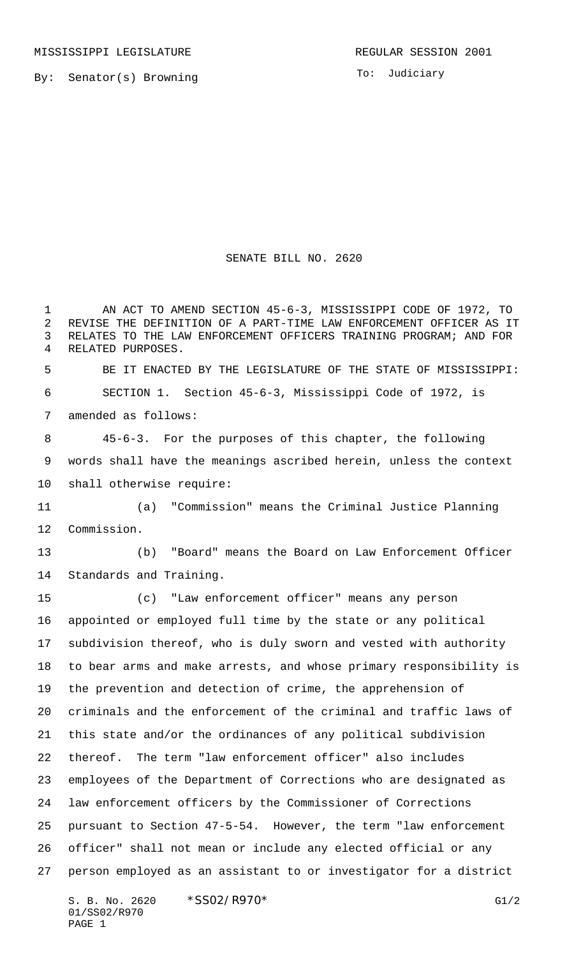To: Judiciary

## SENATE BILL NO. 2620

 AN ACT TO AMEND SECTION 45-6-3, MISSISSIPPI CODE OF 1972, TO REVISE THE DEFINITION OF A PART-TIME LAW ENFORCEMENT OFFICER AS IT RELATES TO THE LAW ENFORCEMENT OFFICERS TRAINING PROGRAM; AND FOR RELATED PURPOSES. BE IT ENACTED BY THE LEGISLATURE OF THE STATE OF MISSISSIPPI: SECTION 1. Section 45-6-3, Mississippi Code of 1972, is amended as follows: 45-6-3. For the purposes of this chapter, the following words shall have the meanings ascribed herein, unless the context shall otherwise require: (a) "Commission" means the Criminal Justice Planning Commission. (b) "Board" means the Board on Law Enforcement Officer Standards and Training. (c) "Law enforcement officer" means any person appointed or employed full time by the state or any political subdivision thereof, who is duly sworn and vested with authority to bear arms and make arrests, and whose primary responsibility is the prevention and detection of crime, the apprehension of criminals and the enforcement of the criminal and traffic laws of this state and/or the ordinances of any political subdivision thereof. The term "law enforcement officer" also includes employees of the Department of Corrections who are designated as law enforcement officers by the Commissioner of Corrections pursuant to Section 47-5-54. However, the term "law enforcement officer" shall not mean or include any elected official or any person employed as an assistant to or investigator for a district

S. B. No. 2620 \* SSO2/R970\* G1/2 01/SS02/R970 PAGE 1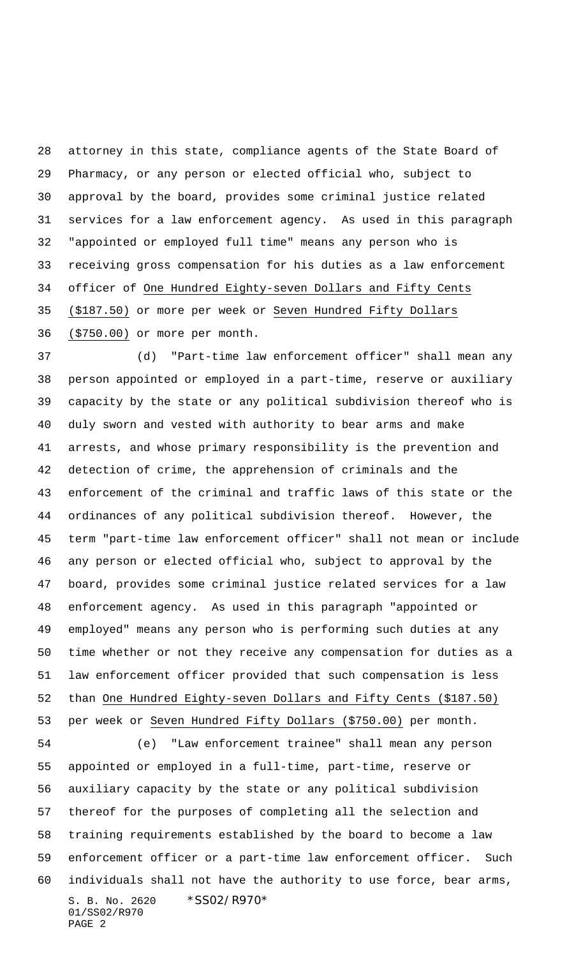attorney in this state, compliance agents of the State Board of Pharmacy, or any person or elected official who, subject to approval by the board, provides some criminal justice related services for a law enforcement agency. As used in this paragraph "appointed or employed full time" means any person who is receiving gross compensation for his duties as a law enforcement officer of One Hundred Eighty-seven Dollars and Fifty Cents (\$187.50) or more per week or Seven Hundred Fifty Dollars (\$750.00) or more per month.

 (d) "Part-time law enforcement officer" shall mean any person appointed or employed in a part-time, reserve or auxiliary capacity by the state or any political subdivision thereof who is duly sworn and vested with authority to bear arms and make arrests, and whose primary responsibility is the prevention and detection of crime, the apprehension of criminals and the enforcement of the criminal and traffic laws of this state or the ordinances of any political subdivision thereof. However, the term "part-time law enforcement officer" shall not mean or include any person or elected official who, subject to approval by the board, provides some criminal justice related services for a law enforcement agency. As used in this paragraph "appointed or employed" means any person who is performing such duties at any time whether or not they receive any compensation for duties as a law enforcement officer provided that such compensation is less than One Hundred Eighty-seven Dollars and Fifty Cents (\$187.50) per week or Seven Hundred Fifty Dollars (\$750.00) per month.

S. B. No. 2620 \*SS02/R970\* 01/SS02/R970 PAGE 2 (e) "Law enforcement trainee" shall mean any person appointed or employed in a full-time, part-time, reserve or auxiliary capacity by the state or any political subdivision thereof for the purposes of completing all the selection and training requirements established by the board to become a law enforcement officer or a part-time law enforcement officer. Such individuals shall not have the authority to use force, bear arms,